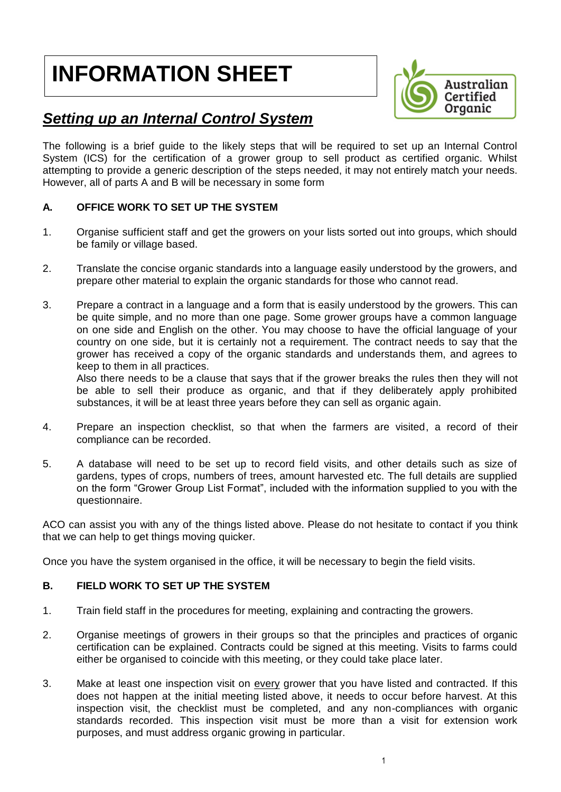# **INFORMATION SHEET**

 $\overline{\phantom{a}}$ 



# *Setting up an Internal Control System*

The following is a brief guide to the likely steps that will be required to set up an Internal Control System (ICS) for the certification of a grower group to sell product as certified organic. Whilst attempting to provide a generic description of the steps needed, it may not entirely match your needs. However, all of parts A and B will be necessary in some form

#### **A. OFFICE WORK TO SET UP THE SYSTEM**

- 1. Organise sufficient staff and get the growers on your lists sorted out into groups, which should be family or village based.
- 2. Translate the concise organic standards into a language easily understood by the growers, and prepare other material to explain the organic standards for those who cannot read.
- 3. Prepare a contract in a language and a form that is easily understood by the growers. This can be quite simple, and no more than one page. Some grower groups have a common language on one side and English on the other. You may choose to have the official language of your country on one side, but it is certainly not a requirement. The contract needs to say that the grower has received a copy of the organic standards and understands them, and agrees to keep to them in all practices.

Also there needs to be a clause that says that if the grower breaks the rules then they will not be able to sell their produce as organic, and that if they deliberately apply prohibited substances, it will be at least three years before they can sell as organic again.

- 4. Prepare an inspection checklist, so that when the farmers are visited, a record of their compliance can be recorded.
- 5. A database will need to be set up to record field visits, and other details such as size of gardens, types of crops, numbers of trees, amount harvested etc. The full details are supplied on the form "Grower Group List Format", included with the information supplied to you with the questionnaire.

ACO can assist you with any of the things listed above. Please do not hesitate to contact if you think that we can help to get things moving quicker.

Once you have the system organised in the office, it will be necessary to begin the field visits.

#### **B. FIELD WORK TO SET UP THE SYSTEM**

- 1. Train field staff in the procedures for meeting, explaining and contracting the growers.
- 2. Organise meetings of growers in their groups so that the principles and practices of organic certification can be explained. Contracts could be signed at this meeting. Visits to farms could either be organised to coincide with this meeting, or they could take place later.
- 3. Make at least one inspection visit on every grower that you have listed and contracted. If this does not happen at the initial meeting listed above, it needs to occur before harvest. At this inspection visit, the checklist must be completed, and any non-compliances with organic standards recorded. This inspection visit must be more than a visit for extension work purposes, and must address organic growing in particular.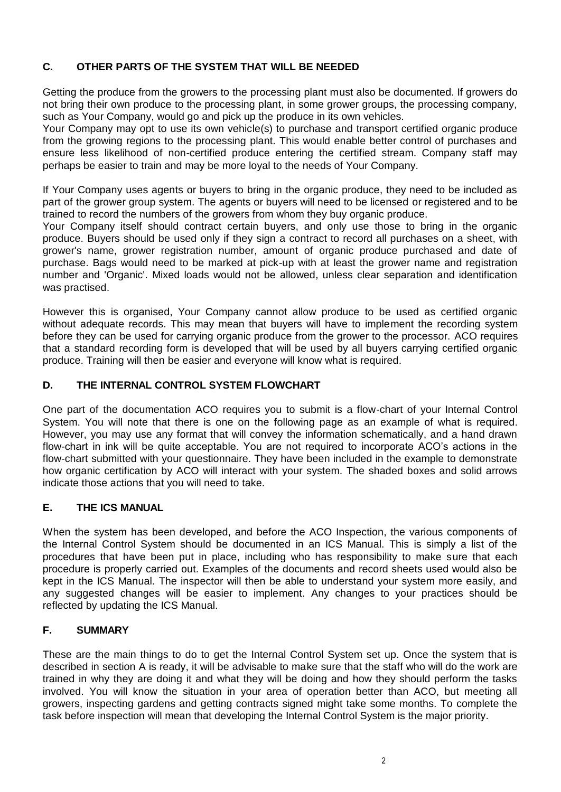#### **C. OTHER PARTS OF THE SYSTEM THAT WILL BE NEEDED**

Getting the produce from the growers to the processing plant must also be documented. If growers do not bring their own produce to the processing plant, in some grower groups, the processing company, such as Your Company, would go and pick up the produce in its own vehicles.

Your Company may opt to use its own vehicle(s) to purchase and transport certified organic produce from the growing regions to the processing plant. This would enable better control of purchases and ensure less likelihood of non-certified produce entering the certified stream. Company staff may perhaps be easier to train and may be more loyal to the needs of Your Company.

If Your Company uses agents or buyers to bring in the organic produce, they need to be included as part of the grower group system. The agents or buyers will need to be licensed or registered and to be trained to record the numbers of the growers from whom they buy organic produce.

Your Company itself should contract certain buyers, and only use those to bring in the organic produce. Buyers should be used only if they sign a contract to record all purchases on a sheet, with grower's name, grower registration number, amount of organic produce purchased and date of purchase. Bags would need to be marked at pick-up with at least the grower name and registration number and 'Organic'. Mixed loads would not be allowed, unless clear separation and identification was practised.

However this is organised, Your Company cannot allow produce to be used as certified organic without adequate records. This may mean that buyers will have to implement the recording system before they can be used for carrying organic produce from the grower to the processor. ACO requires that a standard recording form is developed that will be used by all buyers carrying certified organic produce. Training will then be easier and everyone will know what is required.

#### **D. THE INTERNAL CONTROL SYSTEM FLOWCHART**

One part of the documentation ACO requires you to submit is a flow-chart of your Internal Control System. You will note that there is one on the following page as an example of what is required. However, you may use any format that will convey the information schematically, and a hand drawn flow-chart in ink will be quite acceptable. You are not required to incorporate ACO's actions in the flow-chart submitted with your questionnaire. They have been included in the example to demonstrate how organic certification by ACO will interact with your system. The shaded boxes and solid arrows indicate those actions that you will need to take.

#### **E. THE ICS MANUAL**

When the system has been developed, and before the ACO Inspection, the various components of the Internal Control System should be documented in an ICS Manual. This is simply a list of the procedures that have been put in place, including who has responsibility to make sure that each procedure is properly carried out. Examples of the documents and record sheets used would also be kept in the ICS Manual. The inspector will then be able to understand your system more easily, and any suggested changes will be easier to implement. Any changes to your practices should be reflected by updating the ICS Manual.

#### **F. SUMMARY**

These are the main things to do to get the Internal Control System set up. Once the system that is described in section A is ready, it will be advisable to make sure that the staff who will do the work are trained in why they are doing it and what they will be doing and how they should perform the tasks involved. You will know the situation in your area of operation better than ACO, but meeting all growers, inspecting gardens and getting contracts signed might take some months. To complete the task before inspection will mean that developing the Internal Control System is the major priority.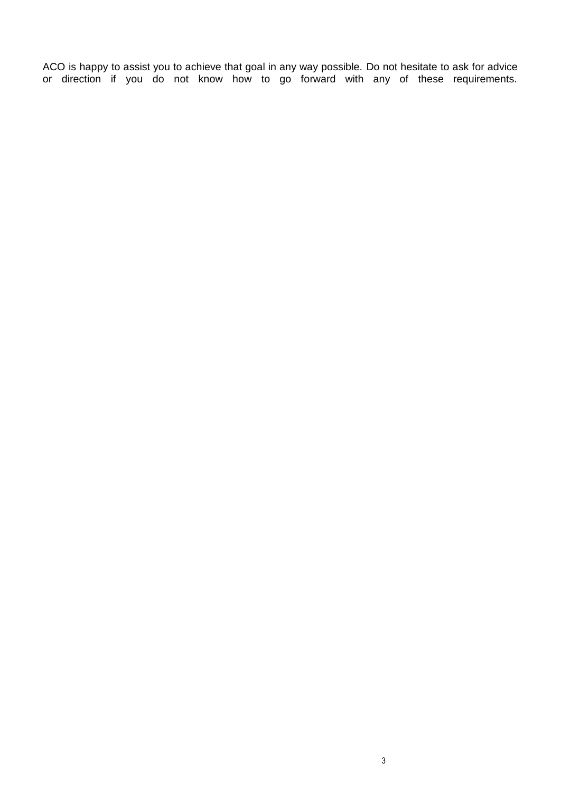ACO is happy to assist you to achieve that goal in any way possible. Do not hesitate to ask for advice or direction if you do not know how to go forward with any of these requirements.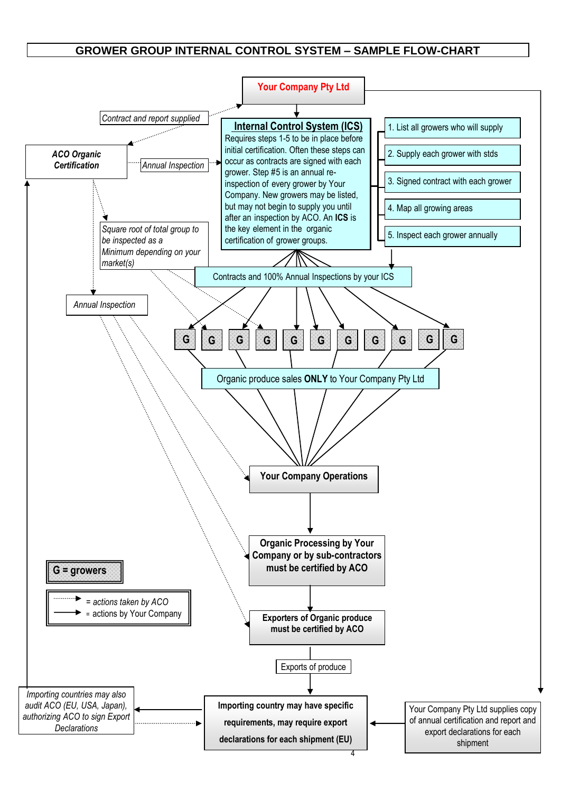#### **GROWER GROUP INTERNAL CONTROL SYSTEM – SAMPLE FLOW-CHART**

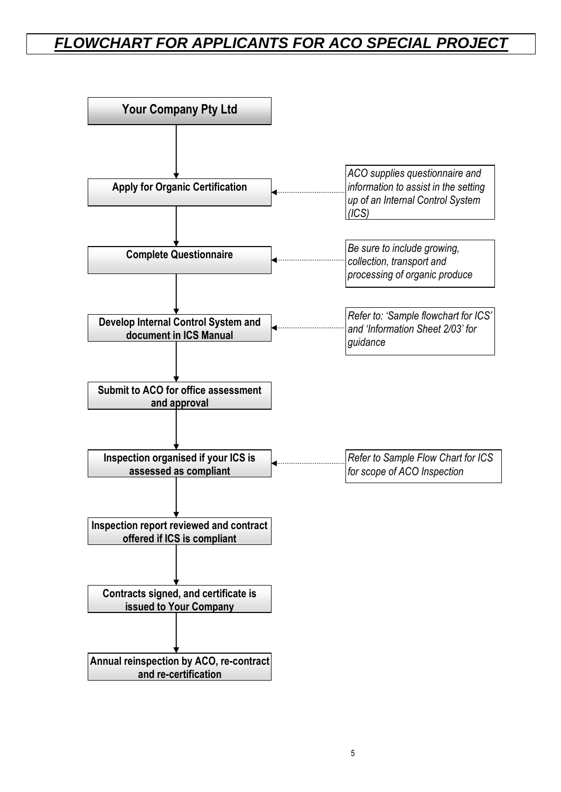## *FLOWCHART FOR APPLICANTS FOR ACO SPECIAL PROJECT*